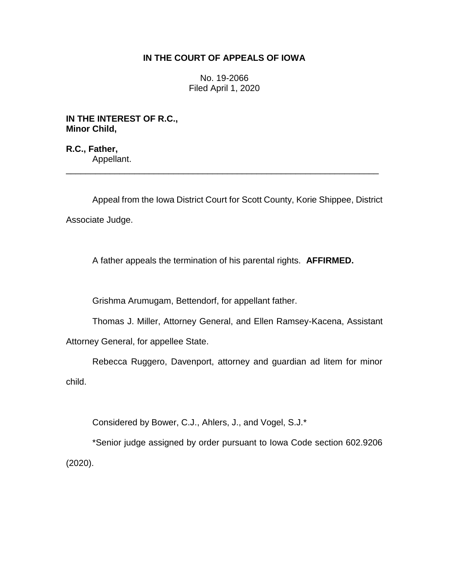## **IN THE COURT OF APPEALS OF IOWA**

No. 19-2066 Filed April 1, 2020

**IN THE INTEREST OF R.C., Minor Child,**

**R.C., Father,** Appellant. \_\_\_\_\_\_\_\_\_\_\_\_\_\_\_\_\_\_\_\_\_\_\_\_\_\_\_\_\_\_\_\_\_\_\_\_\_\_\_\_\_\_\_\_\_\_\_\_\_\_\_\_\_\_\_\_\_\_\_\_\_\_\_\_

Appeal from the Iowa District Court for Scott County, Korie Shippee, District Associate Judge.

A father appeals the termination of his parental rights. **AFFIRMED.**

Grishma Arumugam, Bettendorf, for appellant father.

Thomas J. Miller, Attorney General, and Ellen Ramsey-Kacena, Assistant

Attorney General, for appellee State.

Rebecca Ruggero, Davenport, attorney and guardian ad litem for minor child.

Considered by Bower, C.J., Ahlers, J., and Vogel, S.J.\*

\*Senior judge assigned by order pursuant to Iowa Code section 602.9206 (2020).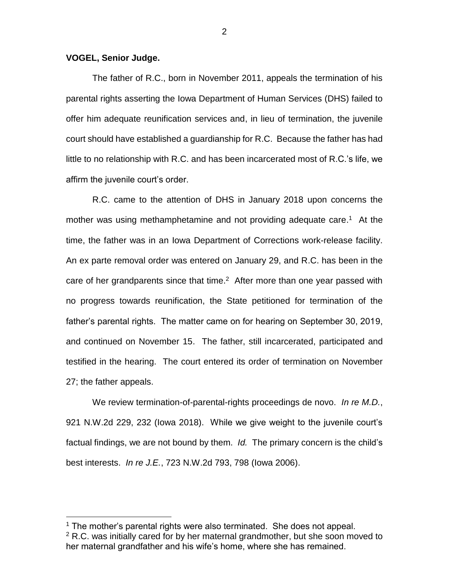## **VOGEL, Senior Judge.**

 $\overline{a}$ 

The father of R.C., born in November 2011, appeals the termination of his parental rights asserting the Iowa Department of Human Services (DHS) failed to offer him adequate reunification services and, in lieu of termination, the juvenile court should have established a guardianship for R.C. Because the father has had little to no relationship with R.C. and has been incarcerated most of R.C.'s life, we affirm the juvenile court's order.

R.C. came to the attention of DHS in January 2018 upon concerns the mother was using methamphetamine and not providing adequate care.<sup>1</sup> At the time, the father was in an Iowa Department of Corrections work-release facility. An ex parte removal order was entered on January 29, and R.C. has been in the care of her grandparents since that time. $2$  After more than one year passed with no progress towards reunification, the State petitioned for termination of the father's parental rights. The matter came on for hearing on September 30, 2019, and continued on November 15. The father, still incarcerated, participated and testified in the hearing. The court entered its order of termination on November 27; the father appeals.

We review termination-of-parental-rights proceedings de novo. *In re M.D.*, 921 N.W.2d 229, 232 (Iowa 2018). While we give weight to the juvenile court's factual findings, we are not bound by them. *Id.* The primary concern is the child's best interests. *In re J.E.*, 723 N.W.2d 793, 798 (Iowa 2006).

 $1$  The mother's parental rights were also terminated. She does not appeal.

 $2$  R.C. was initially cared for by her maternal grandmother, but she soon moved to her maternal grandfather and his wife's home, where she has remained.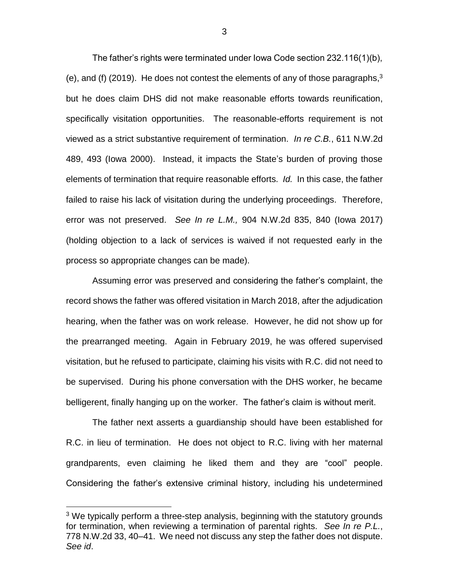The father's rights were terminated under Iowa Code section 232.116(1)(b), (e), and (f) (2019). He does not contest the elements of any of those paragraphs, $3$ but he does claim DHS did not make reasonable efforts towards reunification, specifically visitation opportunities. The reasonable-efforts requirement is not viewed as a strict substantive requirement of termination. *In re C.B.*, 611 N.W.2d 489, 493 (Iowa 2000). Instead, it impacts the State's burden of proving those elements of termination that require reasonable efforts. *Id.* In this case, the father failed to raise his lack of visitation during the underlying proceedings. Therefore, error was not preserved. *See In re L.M.,* 904 N.W.2d 835, 840 (Iowa 2017) (holding objection to a lack of services is waived if not requested early in the process so appropriate changes can be made).

Assuming error was preserved and considering the father's complaint, the record shows the father was offered visitation in March 2018, after the adjudication hearing, when the father was on work release. However, he did not show up for the prearranged meeting. Again in February 2019, he was offered supervised visitation, but he refused to participate, claiming his visits with R.C. did not need to be supervised. During his phone conversation with the DHS worker, he became belligerent, finally hanging up on the worker. The father's claim is without merit.

The father next asserts a guardianship should have been established for R.C. in lieu of termination. He does not object to R.C. living with her maternal grandparents, even claiming he liked them and they are "cool" people. Considering the father's extensive criminal history, including his undetermined

 $\overline{a}$ 

 $3$  We typically perform a three-step analysis, beginning with the statutory grounds for termination, when reviewing a termination of parental rights. *See In re P.L.*, 778 N.W.2d 33, 40–41.We need not discuss any step the father does not dispute. *See id*.